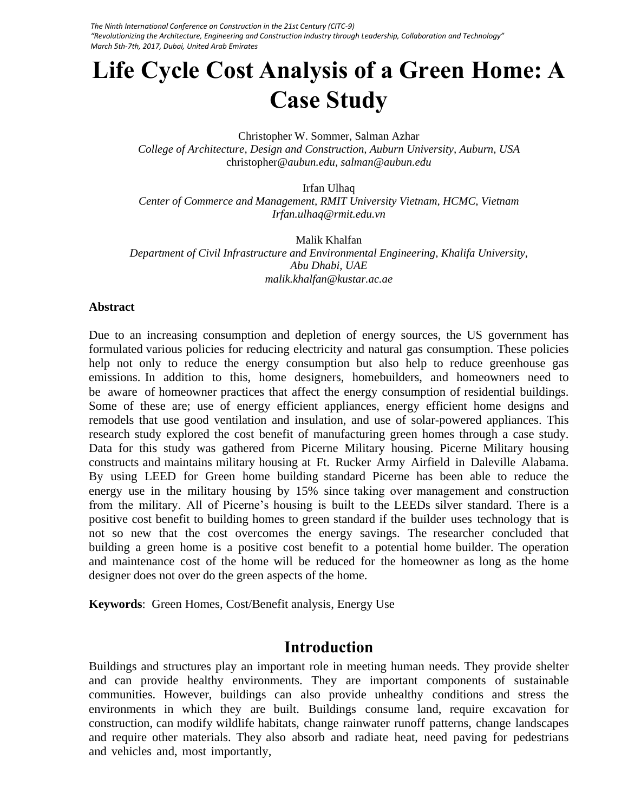*The Ninth International Conference on Construction in the 21st Century (CITC-9) "Revolutionizing the Architecture, Engineering and Construction Industry through Leadership, Collaboration and Technology" March 5th-7th, 2017, Dubai, United Arab Emirates* 

# **Life Cycle Cost Analysis of a Green Home: A Case Study**

Christopher W. Sommer, Salman Azhar *College of Architecture, Design and Construction, Auburn University, Auburn, USA*  christopher*@aubun.edu, salman@aubun.edu*

Irfan Ulhaq *Center of Commerce and Management, RMIT University Vietnam, HCMC, Vietnam Irfan.ulhaq@rmit.edu.vn* 

Malik Khalfan *Department of Civil Infrastructure and Environmental Engineering, Khalifa University, Abu Dhabi, UAE malik.khalfan@kustar.ac.ae*

#### **Abstract**

Due to an increasing consumption and depletion of energy sources, the US government has formulated various policies for reducing electricity and natural gas consumption. These policies help not only to reduce the energy consumption but also help to reduce greenhouse gas emissions. In addition to this, home designers, homebuilders, and homeowners need to be aware of homeowner practices that affect the energy consumption of residential buildings. Some of these are; use of energy efficient appliances, energy efficient home designs and remodels that use good ventilation and insulation, and use of solar-powered appliances. This research study explored the cost benefit of manufacturing green homes through a case study. Data for this study was gathered from Picerne Military housing. Picerne Military housing constructs and maintains military housing at Ft. Rucker Army Airfield in Daleville Alabama. By using LEED for Green home building standard Picerne has been able to reduce the energy use in the military housing by 15% since taking over management and construction from the military. All of Picerne's housing is built to the LEEDs silver standard. There is a positive cost benefit to building homes to green standard if the builder uses technology that is not so new that the cost overcomes the energy savings. The researcher concluded that building a green home is a positive cost benefit to a potential home builder. The operation and maintenance cost of the home will be reduced for the homeowner as long as the home designer does not over do the green aspects of the home.

**Keywords**: Green Homes, Cost/Benefit analysis, Energy Use

### **Introduction**

Buildings and structures play an important role in meeting human needs. They provide shelter and can provide healthy environments. They are important components of sustainable communities. However, buildings can also provide unhealthy conditions and stress the environments in which they are built. Buildings consume land, require excavation for construction, can modify wildlife habitats, change rainwater runoff patterns, change landscapes and require other materials. They also absorb and radiate heat, need paving for pedestrians and vehicles and, most importantly,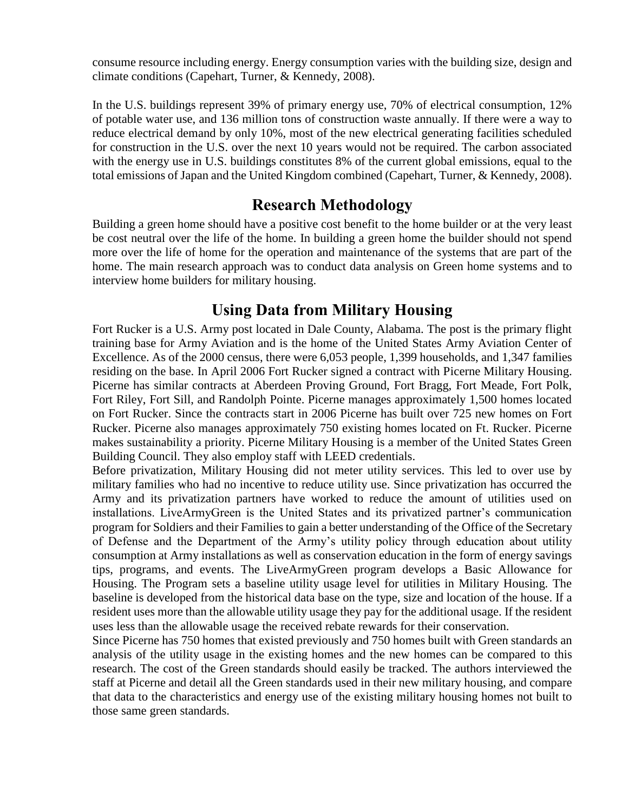consume resource including energy. Energy consumption varies with the building size, design and climate conditions (Capehart, Turner, & Kennedy, 2008).

In the U.S. buildings represent 39% of primary energy use, 70% of electrical consumption, 12% of potable water use, and 136 million tons of construction waste annually. If there were a way to reduce electrical demand by only 10%, most of the new electrical generating facilities scheduled for construction in the U.S. over the next 10 years would not be required. The carbon associated with the energy use in U.S. buildings constitutes 8% of the current global emissions, equal to the total emissions of Japan and the United Kingdom combined (Capehart, Turner, & Kennedy, 2008).

## **Research Methodology**

Building a green home should have a positive cost benefit to the home builder or at the very least be cost neutral over the life of the home. In building a green home the builder should not spend more over the life of home for the operation and maintenance of the systems that are part of the home. The main research approach was to conduct data analysis on Green home systems and to interview home builders for military housing.

## **Using Data from Military Housing**

Fort Rucker is a U.S. Army post located in Dale County, Alabama. The post is the primary flight training base for Army Aviation and is the home of the United States Army Aviation Center of Excellence. As of the 2000 census, there were 6,053 people, 1,399 households, and 1,347 families residing on the base. In April 2006 Fort Rucker signed a contract with Picerne Military Housing. Picerne has similar contracts at Aberdeen Proving Ground, Fort Bragg, Fort Meade, Fort Polk, Fort Riley, Fort Sill, and Randolph Pointe. Picerne manages approximately 1,500 homes located on Fort Rucker. Since the contracts start in 2006 Picerne has built over 725 new homes on Fort Rucker. Picerne also manages approximately 750 existing homes located on Ft. Rucker. Picerne makes sustainability a priority. Picerne Military Housing is a member of the United States Green Building Council. They also employ staff with LEED credentials.

Before privatization, Military Housing did not meter utility services. This led to over use by military families who had no incentive to reduce utility use. Since privatization has occurred the Army and its privatization partners have worked to reduce the amount of utilities used on installations. LiveArmyGreen is the United States and its privatized partner's communication program for Soldiers and their Families to gain a better understanding of the Office of the Secretary of Defense and the Department of the Army's utility policy through education about utility consumption at Army installations as well as conservation education in the form of energy savings tips, programs, and events. The LiveArmyGreen program develops a Basic Allowance for Housing. The Program sets a baseline utility usage level for utilities in Military Housing. The baseline is developed from the historical data base on the type, size and location of the house. If a resident uses more than the allowable utility usage they pay for the additional usage. If the resident uses less than the allowable usage the received rebate rewards for their conservation.

Since Picerne has 750 homes that existed previously and 750 homes built with Green standards an analysis of the utility usage in the existing homes and the new homes can be compared to this research. The cost of the Green standards should easily be tracked. The authors interviewed the staff at Picerne and detail all the Green standards used in their new military housing, and compare that data to the characteristics and energy use of the existing military housing homes not built to those same green standards.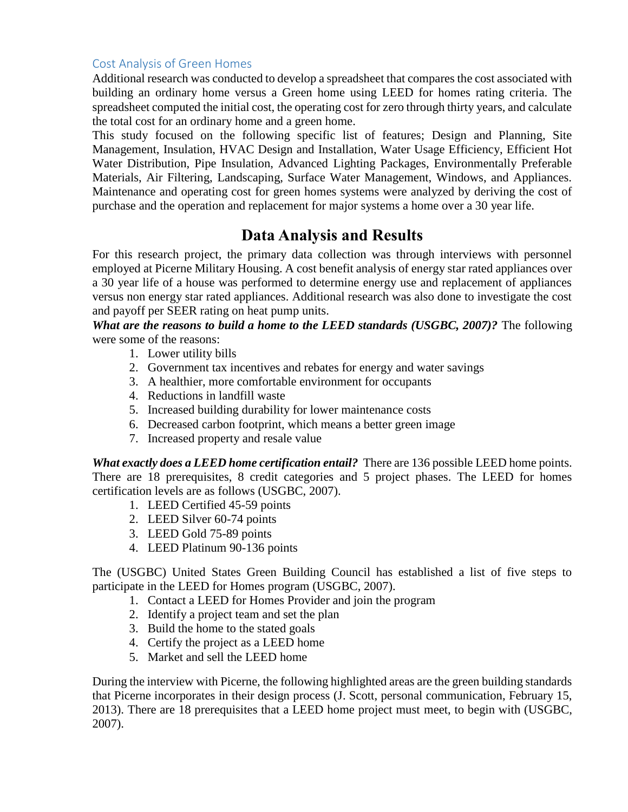#### Cost Analysis of Green Homes

Additional research was conducted to develop a spreadsheet that compares the cost associated with building an ordinary home versus a Green home using LEED for homes rating criteria. The spreadsheet computed the initial cost, the operating cost for zero through thirty years, and calculate the total cost for an ordinary home and a green home.

This study focused on the following specific list of features; Design and Planning, Site Management, Insulation, HVAC Design and Installation, Water Usage Efficiency, Efficient Hot Water Distribution, Pipe Insulation, Advanced Lighting Packages, Environmentally Preferable Materials, Air Filtering, Landscaping, Surface Water Management, Windows, and Appliances. Maintenance and operating cost for green homes systems were analyzed by deriving the cost of purchase and the operation and replacement for major systems a home over a 30 year life.

## **Data Analysis and Results**

For this research project, the primary data collection was through interviews with personnel employed at Picerne Military Housing. A cost benefit analysis of energy star rated appliances over a 30 year life of a house was performed to determine energy use and replacement of appliances versus non energy star rated appliances. Additional research was also done to investigate the cost and payoff per SEER rating on heat pump units.

*What are the reasons to build a home to the LEED standards (USGBC, 2007)?* The following were some of the reasons:

- 1. Lower utility bills
- 2. Government tax incentives and rebates for energy and water savings
- 3. A healthier, more comfortable environment for occupants
- 4. Reductions in landfill waste
- 5. Increased building durability for lower maintenance costs
- 6. Decreased carbon footprint, which means a better green image
- 7. Increased property and resale value

*What exactly does a LEED home certification entail?* There are 136 possible LEED home points. There are 18 prerequisites, 8 credit categories and 5 project phases. The LEED for homes certification levels are as follows (USGBC, 2007).

- 1. LEED Certified 45-59 points
- 2. LEED Silver 60-74 points
- 3. LEED Gold 75-89 points
- 4. LEED Platinum 90-136 points

The (USGBC) United States Green Building Council has established a list of five steps to participate in the LEED for Homes program (USGBC, 2007).

- 1. Contact a LEED for Homes Provider and join the program
- 2. Identify a project team and set the plan
- 3. Build the home to the stated goals
- 4. Certify the project as a LEED home
- 5. Market and sell the LEED home

During the interview with Picerne, the following highlighted areas are the green building standards that Picerne incorporates in their design process (J. Scott, personal communication, February 15, 2013). There are 18 prerequisites that a LEED home project must meet, to begin with (USGBC, 2007).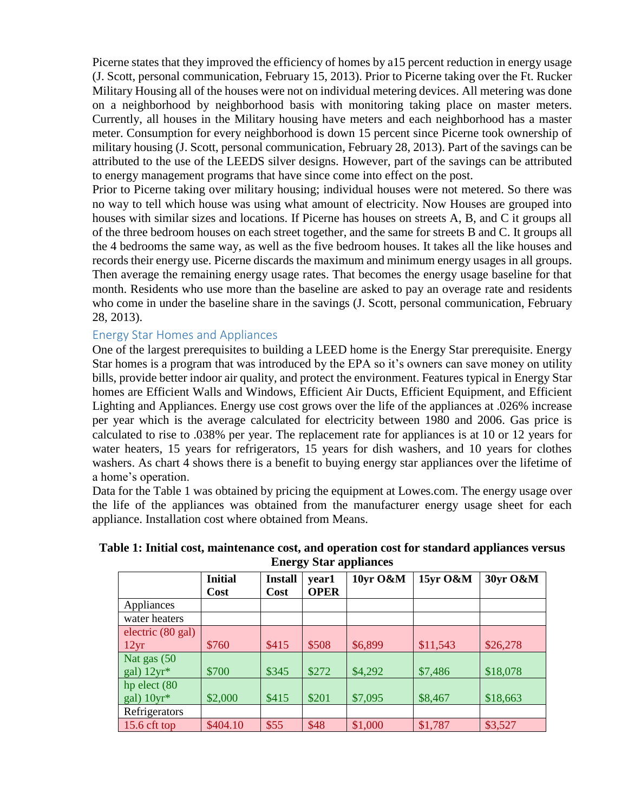Picerne states that they improved the efficiency of homes by a15 percent reduction in energy usage (J. Scott, personal communication, February 15, 2013). Prior to Picerne taking over the Ft. Rucker Military Housing all of the houses were not on individual metering devices. All metering was done on a neighborhood by neighborhood basis with monitoring taking place on master meters. Currently, all houses in the Military housing have meters and each neighborhood has a master meter. Consumption for every neighborhood is down 15 percent since Picerne took ownership of military housing (J. Scott, personal communication, February 28, 2013). Part of the savings can be attributed to the use of the LEEDS silver designs. However, part of the savings can be attributed to energy management programs that have since come into effect on the post.

Prior to Picerne taking over military housing; individual houses were not metered. So there was no way to tell which house was using what amount of electricity. Now Houses are grouped into houses with similar sizes and locations. If Picerne has houses on streets A, B, and C it groups all of the three bedroom houses on each street together, and the same for streets B and C. It groups all the 4 bedrooms the same way, as well as the five bedroom houses. It takes all the like houses and records their energy use. Picerne discards the maximum and minimum energy usages in all groups. Then average the remaining energy usage rates. That becomes the energy usage baseline for that month. Residents who use more than the baseline are asked to pay an overage rate and residents who come in under the baseline share in the savings (J. Scott, personal communication, February 28, 2013).

#### Energy Star Homes and Appliances

One of the largest prerequisites to building a LEED home is the Energy Star prerequisite. Energy Star homes is a program that was introduced by the EPA so it's owners can save money on utility bills, provide better indoor air quality, and protect the environment. Features typical in Energy Star homes are Efficient Walls and Windows, Efficient Air Ducts, Efficient Equipment, and Efficient Lighting and Appliances. Energy use cost grows over the life of the appliances at .026% increase per year which is the average calculated for electricity between 1980 and 2006. Gas price is calculated to rise to .038% per year. The replacement rate for appliances is at 10 or 12 years for water heaters, 15 years for refrigerators, 15 years for dish washers, and 10 years for clothes washers. As chart 4 shows there is a benefit to buying energy star appliances over the lifetime of a home's operation.

Data for the Table 1 was obtained by pricing the equipment at Lowes.com. The energy usage over the life of the appliances was obtained from the manufacturer energy usage sheet for each appliance. Installation cost where obtained from Means.

| тны ду эни арриансы                 |                        |                               |                      |          |          |          |  |
|-------------------------------------|------------------------|-------------------------------|----------------------|----------|----------|----------|--|
|                                     | <b>Initial</b><br>Cost | <b>Install</b><br><b>Cost</b> | year1<br><b>OPER</b> | 10yr O&M | 15yr O&M | 30yr O&M |  |
| Appliances                          |                        |                               |                      |          |          |          |  |
| water heaters                       |                        |                               |                      |          |          |          |  |
| electric $(80 \text{ gal})$<br>12yr | \$760                  | \$415                         | \$508                | \$6,899  | \$11,543 | \$26,278 |  |
| Nat gas (50<br>gal) $12yr*$         | \$700                  | \$345                         | \$272                | \$4,292  | \$7,486  | \$18,078 |  |
| hp elect $(80)$<br>gal) $10yr^*$    | \$2,000                | \$415                         | \$201                | \$7,095  | \$8,467  | \$18,663 |  |
| Refrigerators                       |                        |                               |                      |          |          |          |  |
| 15.6 cft top                        | \$404.10               | \$55                          | \$48                 | \$1,000  | \$1,787  | \$3,527  |  |

#### **Table 1: Initial cost, maintenance cost, and operation cost for standard appliances versus Energy Star appliances**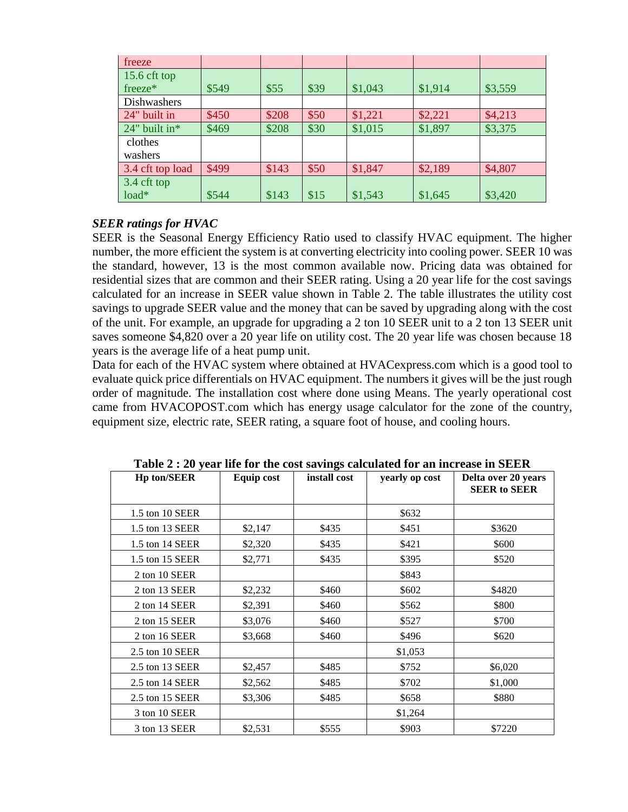| freeze           |       |       |      |         |         |         |
|------------------|-------|-------|------|---------|---------|---------|
| $15.6$ cft top   |       |       |      |         |         |         |
| freeze*          | \$549 | \$55  | \$39 | \$1,043 | \$1,914 | \$3,559 |
| Dishwashers      |       |       |      |         |         |         |
| 24" built in     | \$450 | \$208 | \$50 | \$1,221 | \$2,221 | \$4,213 |
| 24" built in*    | \$469 | \$208 | \$30 | \$1,015 | \$1,897 | \$3,375 |
| clothes          |       |       |      |         |         |         |
| washers          |       |       |      |         |         |         |
| 3.4 cft top load | \$499 | \$143 | \$50 | \$1,847 | \$2,189 | \$4,807 |
| 3.4 cft top      |       |       |      |         |         |         |
| $load*$          | \$544 | \$143 | \$15 | \$1,543 | \$1,645 | \$3,420 |

#### *SEER ratings for HVAC*

SEER is the Seasonal Energy Efficiency Ratio used to classify HVAC equipment. The higher number, the more efficient the system is at converting electricity into cooling power. SEER 10 was the standard, however, 13 is the most common available now. Pricing data was obtained for residential sizes that are common and their SEER rating. Using a 20 year life for the cost savings calculated for an increase in SEER value shown in Table 2. The table illustrates the utility cost savings to upgrade SEER value and the money that can be saved by upgrading along with the cost of the unit. For example, an upgrade for upgrading a 2 ton 10 SEER unit to a 2 ton 13 SEER unit saves someone \$4,820 over a 20 year life on utility cost. The 20 year life was chosen because 18 years is the average life of a heat pump unit.

Data for each of the HVAC system where obtained at HVACexpress.com which is a good tool to evaluate quick price differentials on HVAC equipment. The numbers it gives will be the just rough order of magnitude. The installation cost where done using Means. The yearly operational cost came from HVACOPOST.com which has energy usage calculator for the zone of the country, equipment size, electric rate, SEER rating, a square foot of house, and cooling hours.

| <b>Hp ton/SEER</b> | Equip cost | o<br>install cost | yearly op cost | Delta over 20 years<br><b>SEER to SEER</b> |
|--------------------|------------|-------------------|----------------|--------------------------------------------|
| 1.5 ton 10 SEER    |            |                   | \$632          |                                            |
| 1.5 ton 13 SEER    | \$2,147    | \$435             | \$451          | \$3620                                     |
| 1.5 ton 14 SEER    | \$2,320    | \$435             | \$421          | \$600                                      |
| 1.5 ton 15 SEER    | \$2,771    | \$435             | \$395          | \$520                                      |
| 2 ton 10 SEER      |            |                   | \$843          |                                            |
| 2 ton 13 SEER      | \$2,232    | \$460             | \$602          | \$4820                                     |
| 2 ton 14 SEER      | \$2,391    | \$460             | \$562          | \$800                                      |
| 2 ton 15 SEER      | \$3,076    | \$460             | \$527          | \$700                                      |
| 2 ton 16 SEER      | \$3,668    | \$460             | \$496          | \$620                                      |
| 2.5 ton 10 SEER    |            |                   | \$1,053        |                                            |
| 2.5 ton 13 SEER    | \$2,457    | \$485             | \$752          | \$6,020                                    |
| 2.5 ton 14 SEER    | \$2,562    | \$485             | \$702          | \$1,000                                    |
| 2.5 ton 15 SEER    | \$3,306    | \$485             | \$658          | \$880                                      |
| 3 ton 10 SEER      |            |                   | \$1,264        |                                            |
| 3 ton 13 SEER      | \$2,531    | \$555             | \$903          | \$7220                                     |

**Table 2 : 20 year life for the cost savings calculated for an increase in SEER**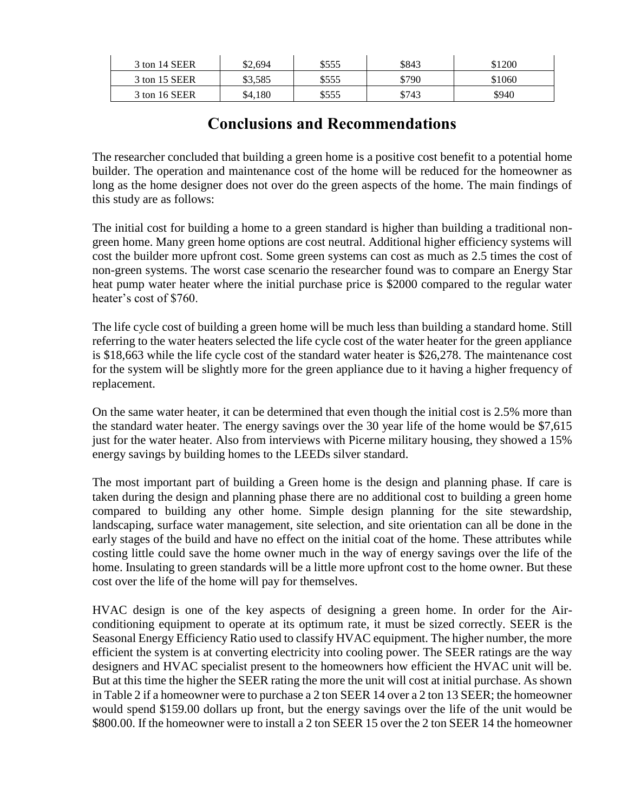| 3 ton 14 SEER | \$2.694 | \$555 | \$843 | \$1200 |
|---------------|---------|-------|-------|--------|
| 3 ton 15 SEER | \$3.585 | \$555 | \$790 | \$1060 |
| 3 ton 16 SEER | \$4,180 | \$555 | \$743 | \$940  |

## **Conclusions and Recommendations**

The researcher concluded that building a green home is a positive cost benefit to a potential home builder. The operation and maintenance cost of the home will be reduced for the homeowner as long as the home designer does not over do the green aspects of the home. The main findings of this study are as follows:

The initial cost for building a home to a green standard is higher than building a traditional nongreen home. Many green home options are cost neutral. Additional higher efficiency systems will cost the builder more upfront cost. Some green systems can cost as much as 2.5 times the cost of non-green systems. The worst case scenario the researcher found was to compare an Energy Star heat pump water heater where the initial purchase price is \$2000 compared to the regular water heater's cost of \$760.

The life cycle cost of building a green home will be much less than building a standard home. Still referring to the water heaters selected the life cycle cost of the water heater for the green appliance is \$18,663 while the life cycle cost of the standard water heater is \$26,278. The maintenance cost for the system will be slightly more for the green appliance due to it having a higher frequency of replacement.

On the same water heater, it can be determined that even though the initial cost is 2.5% more than the standard water heater. The energy savings over the 30 year life of the home would be \$7,615 just for the water heater. Also from interviews with Picerne military housing, they showed a 15% energy savings by building homes to the LEEDs silver standard.

The most important part of building a Green home is the design and planning phase. If care is taken during the design and planning phase there are no additional cost to building a green home compared to building any other home. Simple design planning for the site stewardship, landscaping, surface water management, site selection, and site orientation can all be done in the early stages of the build and have no effect on the initial coat of the home. These attributes while costing little could save the home owner much in the way of energy savings over the life of the home. Insulating to green standards will be a little more upfront cost to the home owner. But these cost over the life of the home will pay for themselves.

HVAC design is one of the key aspects of designing a green home. In order for the Airconditioning equipment to operate at its optimum rate, it must be sized correctly. SEER is the Seasonal Energy Efficiency Ratio used to classify HVAC equipment. The higher number, the more efficient the system is at converting electricity into cooling power. The SEER ratings are the way designers and HVAC specialist present to the homeowners how efficient the HVAC unit will be. But at this time the higher the SEER rating the more the unit will cost at initial purchase. As shown in Table 2 if a homeowner were to purchase a 2 ton SEER 14 over a 2 ton 13 SEER; the homeowner would spend \$159.00 dollars up front, but the energy savings over the life of the unit would be \$800.00. If the homeowner were to install a 2 ton SEER 15 over the 2 ton SEER 14 the homeowner